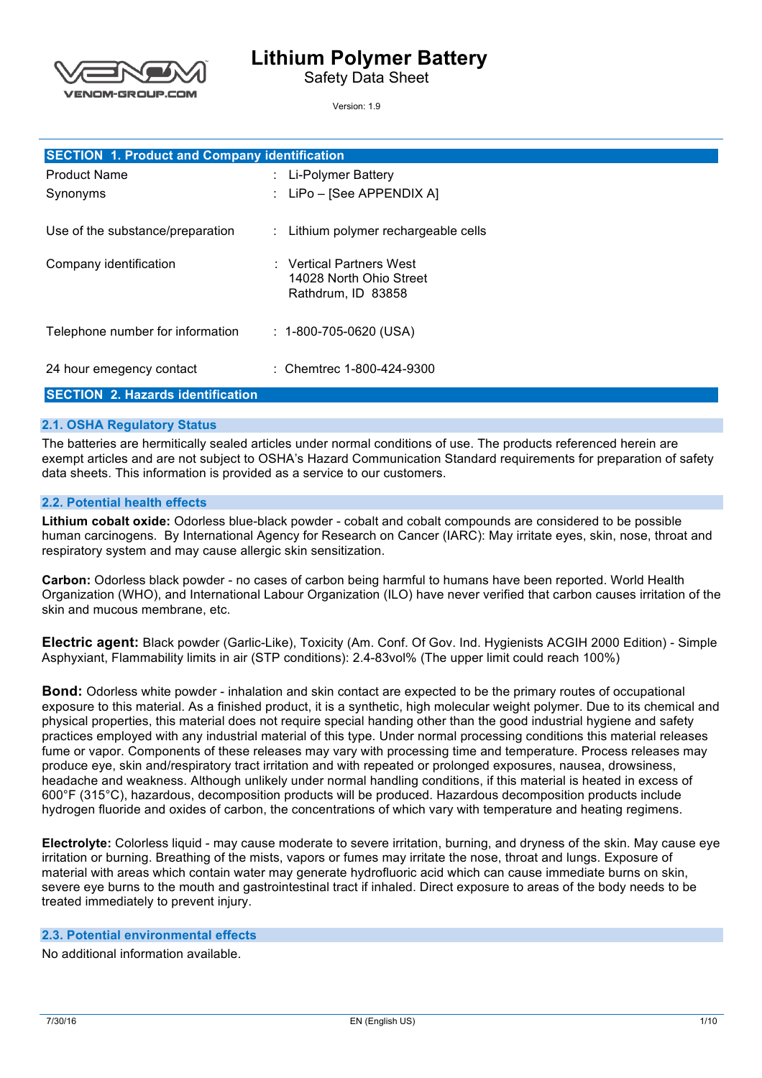# **Lithium Polymer Battery**

Safety Data Sheet

Version: 1.9

| <b>SECTION 1. Product and Company identification</b> |                                                                           |  |  |
|------------------------------------------------------|---------------------------------------------------------------------------|--|--|
| <b>Product Name</b>                                  | : Li-Polymer Battery                                                      |  |  |
| Synonyms                                             | : LiPo – [See APPENDIX A]                                                 |  |  |
| Use of the substance/preparation                     | : Lithium polymer rechargeable cells                                      |  |  |
| Company identification                               | : Vertical Partners West<br>14028 North Ohio Street<br>Rathdrum, ID 83858 |  |  |
| Telephone number for information                     | $: 1 - 800 - 705 - 0620$ (USA)                                            |  |  |
| 24 hour emegency contact                             | : Chemtrec 1-800-424-9300                                                 |  |  |
| <b>SECTION 2. Hazards identification</b>             |                                                                           |  |  |

#### **2.1. OSHA Regulatory Status**

**ENOM-GROUP.COM** 

 The batteries are hermitically sealed articles under normal conditions of use. The products referenced herein are exempt articles and are not subject to OSHA's Hazard Communication Standard requirements for preparation of safety data sheets. This information is provided as a service to our customers.

#### **2.2. Potential health effects**

 **Lithium cobalt oxide:** Odorless blue-black powder - cobalt and cobalt compounds are considered to be possible respiratory system and may cause allergic skin sensitization. human carcinogens. By International Agency for Research on Cancer (IARC): May irritate eyes, skin, nose, throat and

 **Carbon:** Odorless black powder - no cases of carbon being harmful to humans have been reported. World Health Organization (WHO), and International Labour Organization (ILO) have never verified that carbon causes irritation of the skin and mucous membrane, etc.

 **Electric agent:** Black powder (Garlic-Like), Toxicity (Am. Conf. Of Gov. Ind. Hygienists ACGIH 2000 Edition) - Simple Asphyxiant, Flammability limits in air (STP conditions): 2.4-83vol% (The upper limit could reach 100%)

 **Bond:** Odorless white powder - inhalation and skin contact are expected to be the primary routes of occupational exposure to this material. As a finished product, it is a synthetic, high molecular weight polymer. Due to its chemical and physical properties, this material does not require special handing other than the good industrial hygiene and safety practices employed with any industrial material of this type. Under normal processing conditions this material releases fume or vapor. Components of these releases may vary with processing time and temperature. Process releases may produce eye, skin and/respiratory tract irritation and with repeated or prolonged exposures, nausea, drowsiness, headache and weakness. Although unlikely under normal handling conditions, if this material is heated in excess of 600°F (315°C), hazardous, decomposition products will be produced. Hazardous decomposition products include hydrogen fluoride and oxides of carbon, the concentrations of which vary with temperature and heating regimens.

 **Electrolyte:** Colorless liquid - may cause moderate to severe irritation, burning, and dryness of the skin. May cause eye irritation or burning. Breathing of the mists, vapors or fumes may irritate the nose, throat and lungs. Exposure of material with areas which contain water may generate hydrofluoric acid which can cause immediate burns on skin, severe eye burns to the mouth and gastrointestinal tract if inhaled. Direct exposure to areas of the body needs to be treated immediately to prevent injury.

#### **2.3. Potential environmental effects**

No additional information available.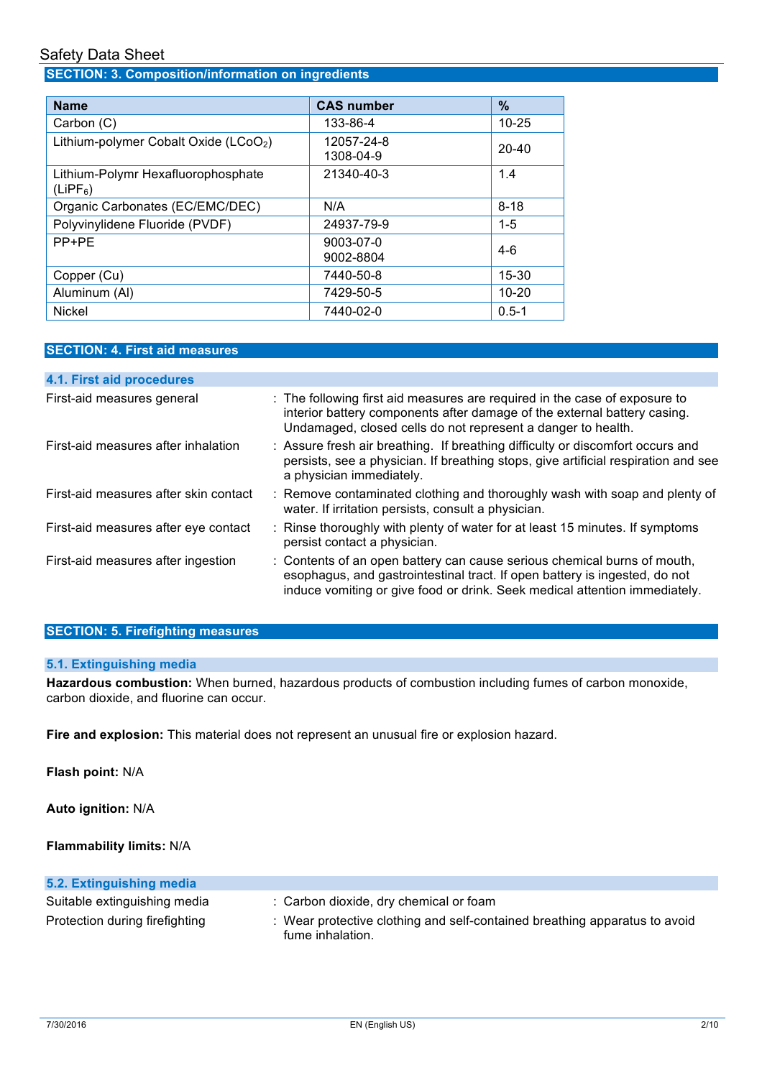## **SECTION: 3. Composition/information on ingredients**

| <b>Name</b>                                                | <b>CAS number</b>       | $\%$      |
|------------------------------------------------------------|-------------------------|-----------|
| Carbon (C)                                                 | 133-86-4                | $10 - 25$ |
| Lithium-polymer Cobalt Oxide (LCoO <sub>2</sub> )          | 12057-24-8<br>1308-04-9 | $20 - 40$ |
| Lithium-Polymr Hexafluorophosphate<br>(LIPF <sub>6</sub> ) | 21340-40-3              | 1.4       |
| Organic Carbonates (EC/EMC/DEC)                            | N/A                     | $8 - 18$  |
| Polyvinylidene Fluoride (PVDF)                             | 24937-79-9              | $1 - 5$   |
| PP+PE                                                      | 9003-07-0<br>9002-8804  | $4-6$     |
| Copper (Cu)                                                | 7440-50-8               | $15 - 30$ |
| Aluminum (AI)                                              | 7429-50-5               | $10 - 20$ |
| <b>Nickel</b>                                              | 7440-02-0               | $0.5 - 1$ |

## **SECTION: 4. First aid measures**

| 4.1. First aid procedures             |                                                                                                                                                                                                                                      |
|---------------------------------------|--------------------------------------------------------------------------------------------------------------------------------------------------------------------------------------------------------------------------------------|
| First-aid measures general            | : The following first aid measures are required in the case of exposure to<br>interior battery components after damage of the external battery casing.<br>Undamaged, closed cells do not represent a danger to health.               |
| First-aid measures after inhalation   | : Assure fresh air breathing. If breathing difficulty or discomfort occurs and<br>persists, see a physician. If breathing stops, give artificial respiration and see<br>a physician immediately.                                     |
| First-aid measures after skin contact | : Remove contaminated clothing and thoroughly wash with soap and plenty of<br>water. If irritation persists, consult a physician.                                                                                                    |
| First-aid measures after eye contact  | : Rinse thoroughly with plenty of water for at least 15 minutes. If symptoms<br>persist contact a physician.                                                                                                                         |
| First-aid measures after ingestion    | : Contents of an open battery can cause serious chemical burns of mouth,<br>esophagus, and gastrointestinal tract. If open battery is ingested, do not<br>induce vomiting or give food or drink. Seek medical attention immediately. |

## **SECTION: 5. Firefighting measures**

#### **5.1. Extinguishing media**

 **Hazardous combustion:** When burned, hazardous products of combustion including fumes of carbon monoxide, carbon dioxide, and fluorine can occur.

**Fire and explosion:** This material does not represent an unusual fire or explosion hazard.

**Flash point:** N/A

**Auto ignition:** N/A

**Flammability limits:** N/A

| 5.2. Extinguishing media       |                                                                                                |
|--------------------------------|------------------------------------------------------------------------------------------------|
| Suitable extinguishing media   | : Carbon dioxide, dry chemical or foam                                                         |
| Protection during firefighting | : Wear protective clothing and self-contained breathing apparatus to avoid<br>fume inhalation. |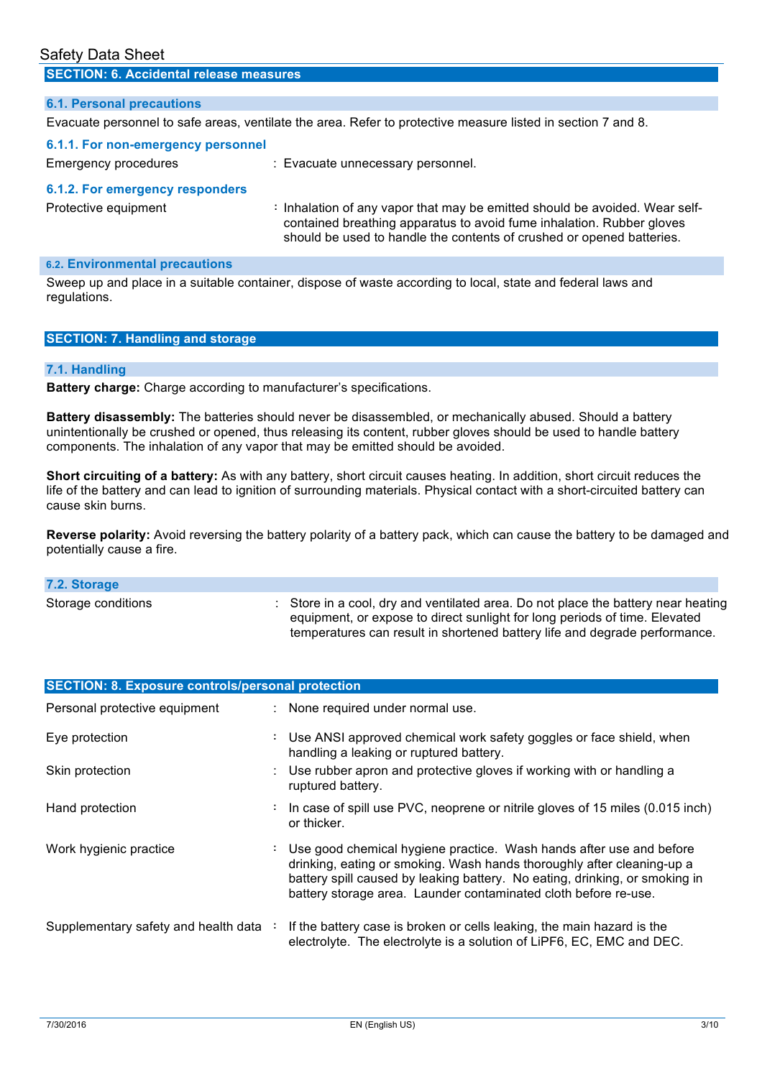## **6.1. Personal precautions**  Evacuate personnel to safe areas, ventilate the area. Refer to protective measure listed in section 7 and 8. contained breathing apparatus to avoid fume inhalation. Rubber gloves should be used to handle the contents of crushed or opened batteries. **SECTION: 6. Accidental release measures 6.1.1. For non-emergency personnel**  Emergency procedures : Evacuate unnecessary personnel. **6.1.2. For emergency responders**  Protective equipment **:** Inhalation of any vapor that may be emitted should be avoided. Wear self-

### **6.2. Environmental precautions**

 Sweep up and place in a suitable container, dispose of waste according to local, state and federal laws and regulations.

|  |  | <b>SECTION: 7. Handling and storage</b> |
|--|--|-----------------------------------------|
|--|--|-----------------------------------------|

#### **7.1. Handling**

**Battery charge:** Charge according to manufacturer's specifications.

 **Battery disassembly:** The batteries should never be disassembled, or mechanically abused. Should a battery unintentionally be crushed or opened, thus releasing its content, rubber gloves should be used to handle battery components. The inhalation of any vapor that may be emitted should be avoided.

 **Short circuiting of a battery:** As with any battery, short circuit causes heating. In addition, short circuit reduces the life of the battery and can lead to ignition of surrounding materials. Physical contact with a short-circuited battery can cause skin burns.

 **Reverse polarity:** Avoid reversing the battery polarity of a battery pack, which can cause the battery to be damaged and potentially cause a fire.

| 7.2. Storage       |                                                                                                                                                                                                                                                          |
|--------------------|----------------------------------------------------------------------------------------------------------------------------------------------------------------------------------------------------------------------------------------------------------|
| Storage conditions | $\therefore$ Store in a cool, dry and ventilated area. Do not place the battery near heating<br>equipment, or expose to direct sunlight for long periods of time. Elevated<br>temperatures can result in shortened battery life and degrade performance. |

| <b>SECTION: 8. Exposure controls/personal protection</b> |    |                                                                                                                                                                                                                                                                                                 |  |
|----------------------------------------------------------|----|-------------------------------------------------------------------------------------------------------------------------------------------------------------------------------------------------------------------------------------------------------------------------------------------------|--|
| Personal protective equipment                            |    | : None required under normal use.                                                                                                                                                                                                                                                               |  |
| Eye protection                                           |    | : Use ANSI approved chemical work safety goggles or face shield, when<br>handling a leaking or ruptured battery.                                                                                                                                                                                |  |
| Skin protection                                          |    | : Use rubber apron and protective gloves if working with or handling a<br>ruptured battery.                                                                                                                                                                                                     |  |
| Hand protection                                          |    | : In case of spill use PVC, neoprene or nitrile gloves of 15 miles (0.015 inch)<br>or thicker.                                                                                                                                                                                                  |  |
| Work hygienic practice                                   | ÷. | Use good chemical hygiene practice. Wash hands after use and before<br>drinking, eating or smoking. Wash hands thoroughly after cleaning-up a<br>battery spill caused by leaking battery. No eating, drinking, or smoking in<br>battery storage area. Launder contaminated cloth before re-use. |  |
| Supplementary safety and health data :                   |    | If the battery case is broken or cells leaking, the main hazard is the<br>electrolyte. The electrolyte is a solution of LiPF6, EC, EMC and DEC.                                                                                                                                                 |  |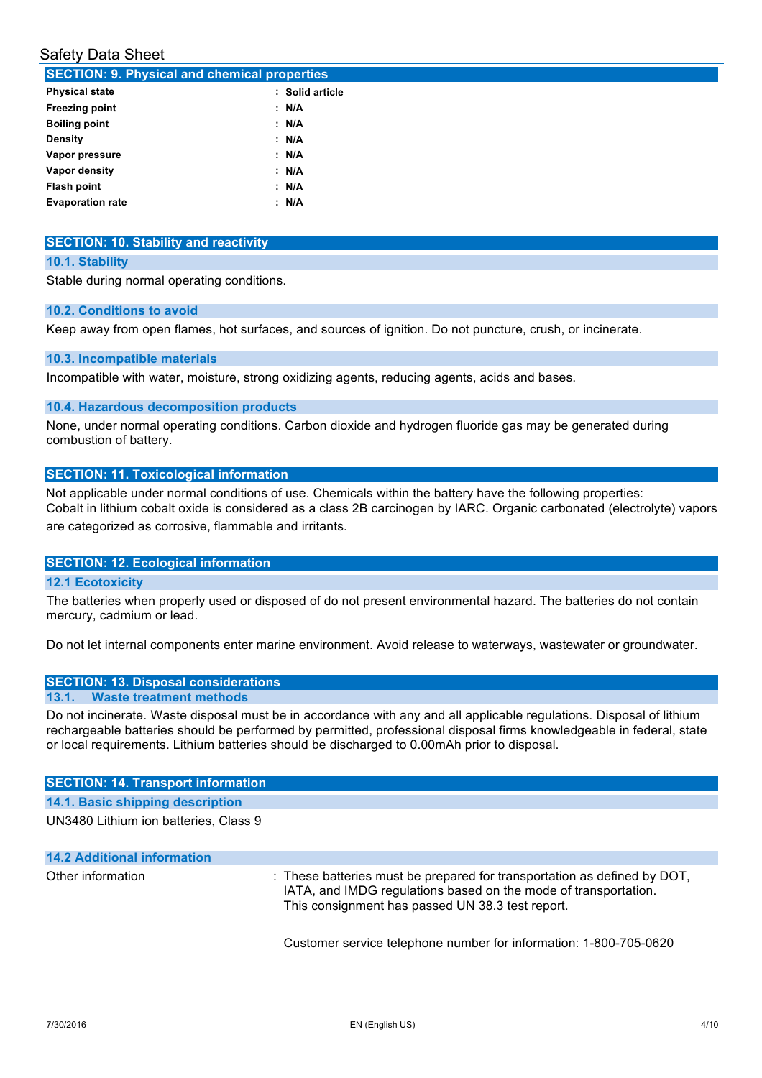| <b>SECTION: 9. Physical and chemical properties</b> |                 |  |  |
|-----------------------------------------------------|-----------------|--|--|
| <b>Physical state</b>                               | : Solid article |  |  |
| <b>Freezing point</b>                               | : N/A           |  |  |
| <b>Boiling point</b>                                | : N/A           |  |  |
| <b>Density</b>                                      | : N/A           |  |  |
| Vapor pressure                                      | : N/A           |  |  |
| Vapor density                                       | : N/A           |  |  |
| Flash point                                         | : N/A           |  |  |
| <b>Evaporation rate</b>                             | : N/A           |  |  |
|                                                     |                 |  |  |

#### **SECTION: 10. Stability and reactivity**

#### **10.1. Stability**

Stable during normal operating conditions.

#### **10.2. Conditions to avoid**

Keep away from open flames, hot surfaces, and sources of ignition. Do not puncture, crush, or incinerate.

#### **10.3. Incompatible materials**

Incompatible with water, moisture, strong oxidizing agents, reducing agents, acids and bases.

#### **10.4. Hazardous decomposition products**

 None, under normal operating conditions. Carbon dioxide and hydrogen fluoride gas may be generated during combustion of battery.

#### **SECTION: 11. Toxicological information**

 Not applicable under normal conditions of use. Chemicals within the battery have the following properties: Cobalt in lithium cobalt oxide is considered as a class 2B carcinogen by IARC. Organic carbonated (electrolyte) vapors are categorized as corrosive, flammable and irritants.

#### **SECTION: 12. Ecological information**

#### **12.1 Ecotoxicity**

 The batteries when properly used or disposed of do not present environmental hazard. The batteries do not contain mercury, cadmium or lead. mercury, cadmium or lead.<br>Do not let internal components enter marine environment. Avoid release to waterways, wastewater or groundwater.

#### **SECTION: 13. Disposal considerations 13.1. Waste treatment methods**

 Do not incinerate. Waste disposal must be in accordance with any and all applicable regulations. Disposal of lithium rechargeable batteries should be performed by permitted, professional disposal firms knowledgeable in federal, state or local requirements. Lithium batteries should be discharged to 0.00mAh prior to disposal.

#### **SECTION: 14. Transport information**

**14.1. Basic shipping description** 

UN3480 Lithium ion batteries, Class 9

## Other information **interpollation** : These batteries must be prepared for transportation as defined by DOT, IATA, and IMDG regulations based on the mode of transportation. This consignment has passed UN 38.3 test report. **14.2 Additional information**

Customer service telephone number for information: 1-800-705-0620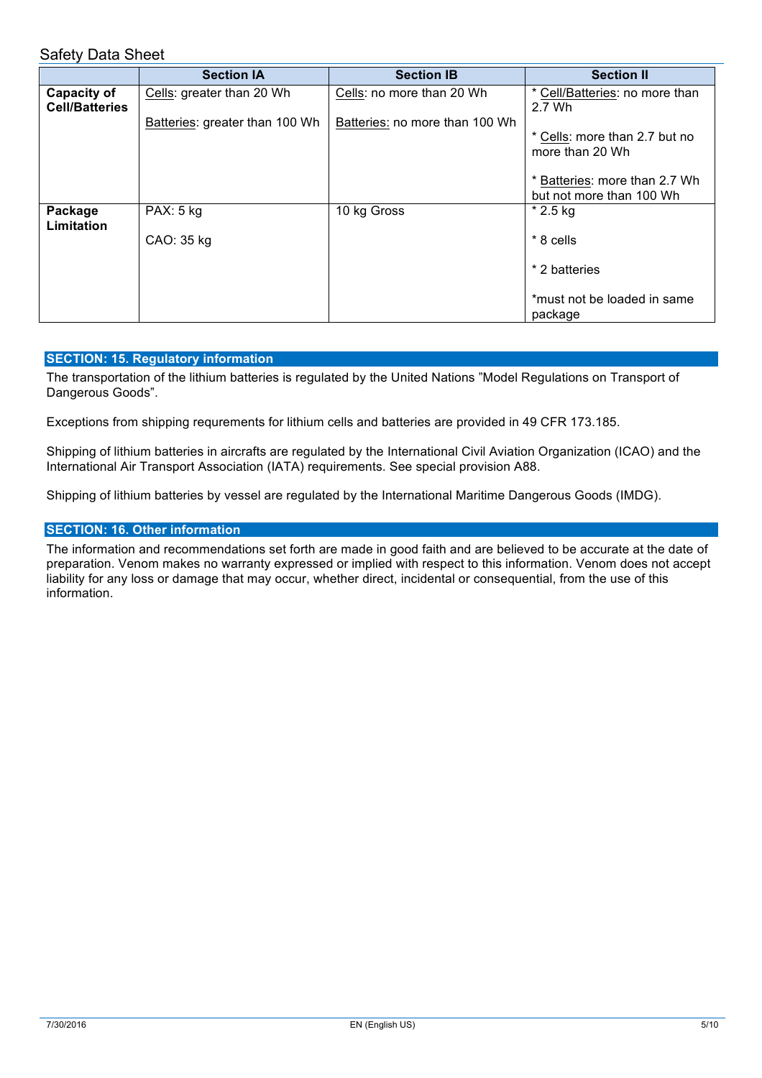|                                             | <b>Section IA</b>              | <b>Section IB</b>              | <b>Section II</b>                                         |
|---------------------------------------------|--------------------------------|--------------------------------|-----------------------------------------------------------|
| <b>Capacity of</b><br><b>Cell/Batteries</b> | Cells: greater than 20 Wh      | Cells: no more than 20 Wh      | * Cell/Batteries: no more than<br>2.7 Wh                  |
|                                             | Batteries: greater than 100 Wh | Batteries: no more than 100 Wh | * Cells: more than 2.7 but no<br>more than 20 Wh          |
|                                             |                                |                                | * Batteries: more than 2.7 Wh<br>but not more than 100 Wh |
| Package<br>Limitation                       | PAX: 5 kg                      | 10 kg Gross                    | $*$ 2.5 kg                                                |
|                                             | CAO: 35 kg                     |                                | $*8$ cells                                                |
|                                             |                                |                                | * 2 batteries                                             |
|                                             |                                |                                | *must not be loaded in same<br>package                    |

#### **SECTION: 15. Regulatory information**

 The transportation of the lithium batteries is regulated by the United Nations "Model Regulations on Transport of Dangerous Goods".

Exceptions from shipping requrements for lithium cells and batteries are provided in 49 CFR 173.185.

 Shipping of lithium batteries in aircrafts are regulated by the International Civil Aviation Organization (ICAO) and the International Air Transport Association (IATA) requirements. See special provision A88.

Shipping of lithium batteries by vessel are regulated by the International Maritime Dangerous Goods (IMDG).

#### **SECTION: 16. Other information**

 The information and recommendations set forth are made in good faith and are believed to be accurate at the date of preparation. Venom makes no warranty expressed or implied with respect to this information. Venom does not accept liability for any loss or damage that may occur, whether direct, incidental or consequential, from the use of this information.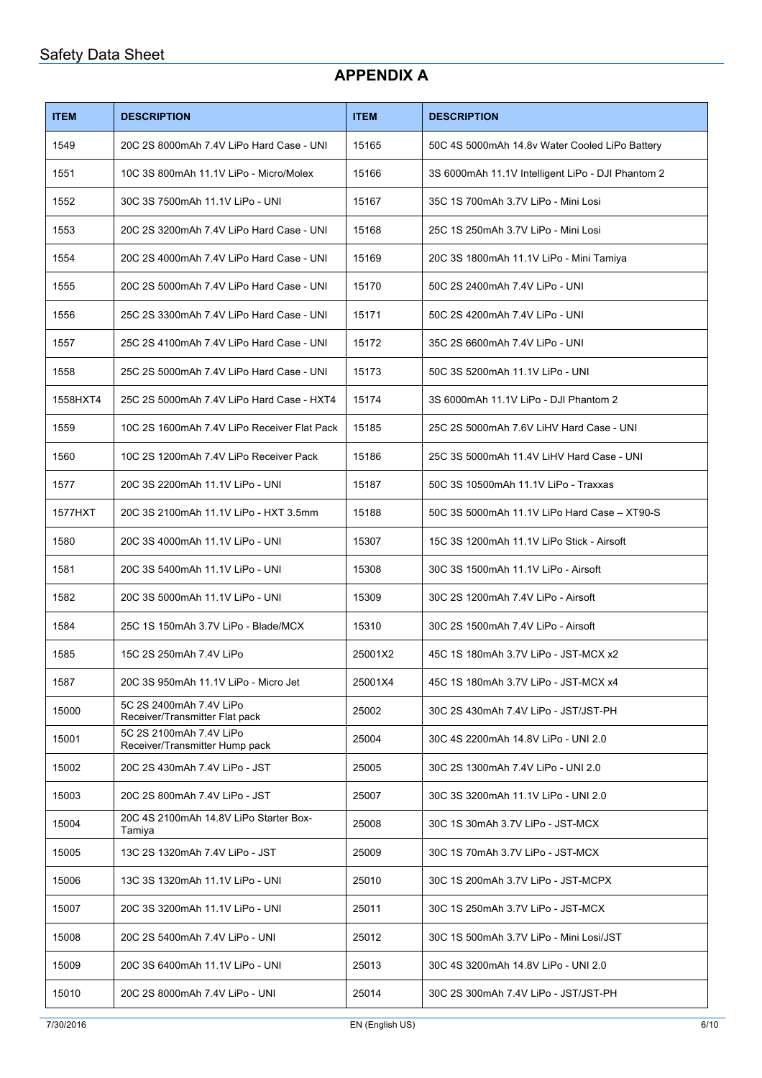## **APPENDIX A**

| <b>ITEM</b> | <b>DESCRIPTION</b>                                        | <b>ITEM</b> | <b>DESCRIPTION</b>                                |
|-------------|-----------------------------------------------------------|-------------|---------------------------------------------------|
| 1549        | 20C 2S 8000mAh 7.4V LiPo Hard Case - UNI                  | 15165       | 50C 4S 5000mAh 14.8v Water Cooled LiPo Battery    |
| 1551        | 10C 3S 800mAh 11.1V LiPo - Micro/Molex                    | 15166       | 3S 6000mAh 11.1V Intelligent LiPo - DJI Phantom 2 |
| 1552        | 30C 3S 7500mAh 11.1V LiPo - UNI                           | 15167       | 35C 1S 700mAh 3.7V LiPo - Mini Losi               |
| 1553        | 20C 2S 3200mAh 7.4V LiPo Hard Case - UNI                  | 15168       | 25C 1S 250mAh 3.7V LiPo - Mini Losi               |
| 1554        | 20C 2S 4000mAh 7.4V LiPo Hard Case - UNI                  | 15169       | 20C 3S 1800mAh 11.1V LiPo - Mini Tamiya           |
| 1555        | 20C 2S 5000mAh 7.4V LiPo Hard Case - UNI                  | 15170       | 50C 2S 2400mAh 7.4V LiPo - UNI                    |
| 1556        | 25C 2S 3300mAh 7.4V LiPo Hard Case - UNI                  | 15171       | 50C 2S 4200mAh 7.4V LiPo - UNI                    |
| 1557        | 25C 2S 4100mAh 7.4V LiPo Hard Case - UNI                  | 15172       | 35C 2S 6600mAh 7.4V LiPo - UNI                    |
| 1558        | 25C 2S 5000mAh 7.4V LiPo Hard Case - UNI                  | 15173       | 50C 3S 5200mAh 11.1V LiPo - UNI                   |
| 1558HXT4    | 25C 2S 5000mAh 7.4V LiPo Hard Case - HXT4                 | 15174       | 3S 6000mAh 11.1V LiPo - DJI Phantom 2             |
| 1559        | 10C 2S 1600mAh 7.4V LiPo Receiver Flat Pack               | 15185       | 25C 2S 5000mAh 7.6V LiHV Hard Case - UNI          |
| 1560        | 10C 2S 1200mAh 7.4V LiPo Receiver Pack                    | 15186       | 25C 3S 5000mAh 11.4V LiHV Hard Case - UNI         |
| 1577        | 20C 3S 2200mAh 11.1V LiPo - UNI                           | 15187       | 50C 3S 10500mAh 11.1V LiPo - Traxxas              |
| 1577HXT     | 20C 3S 2100mAh 11.1V LiPo - HXT 3.5mm                     | 15188       | 50C 3S 5000mAh 11.1V LiPo Hard Case - XT90-S      |
| 1580        | 20C 3S 4000mAh 11.1V LiPo - UNI                           | 15307       | 15C 3S 1200mAh 11.1V LiPo Stick - Airsoft         |
| 1581        | 20C 3S 5400mAh 11.1V LiPo - UNI                           | 15308       | 30C 3S 1500mAh 11.1V LiPo - Airsoft               |
| 1582        | 20C 3S 5000mAh 11.1V LiPo - UNI                           | 15309       | 30C 2S 1200mAh 7.4V LiPo - Airsoft                |
| 1584        | 25C 1S 150mAh 3.7V LiPo - Blade/MCX                       | 15310       | 30C 2S 1500mAh 7.4V LiPo - Airsoft                |
| 1585        | 15C 2S 250mAh 7.4V LiPo                                   | 25001X2     | 45C 1S 180mAh 3.7V LiPo - JST-MCX x2              |
| 1587        | 20C 3S 950mAh 11.1V LiPo - Micro Jet                      | 25001X4     | 45C 1S 180mAh 3.7V LiPo - JST-MCX x4              |
| 15000       | 5C 2S 2400mAh 7.4V LiPo<br>Receiver/Transmitter Flat pack | 25002       | 30C 2S 430mAh 7.4V LiPo - JST/JST-PH              |
| 15001       | 5C 2S 2100mAh 7.4V LiPo<br>Receiver/Transmitter Hump pack | 25004       | 30C 4S 2200mAh 14.8V LiPo - UNI 2.0               |
| 15002       | 20C 2S 430mAh 7.4V LiPo - JST                             | 25005       | 30C 2S 1300mAh 7.4V LiPo - UNI 2.0                |
| 15003       | 20C 2S 800mAh 7.4V LiPo - JST                             | 25007       | 30C 3S 3200mAh 11.1V LiPo - UNI 2.0               |
| 15004       | 20C 4S 2100mAh 14.8V LiPo Starter Box-<br>Tamiya          | 25008       | 30C 1S 30mAh 3.7V LiPo - JST-MCX                  |
| 15005       | 13C 2S 1320mAh 7.4V LiPo - JST                            | 25009       | 30C 1S 70mAh 3.7V LiPo - JST-MCX                  |
| 15006       | 13C 3S 1320mAh 11.1V LiPo - UNI                           | 25010       | 30C 1S 200mAh 3.7V LiPo - JST-MCPX                |
| 15007       | 20C 3S 3200mAh 11.1V LiPo - UNI                           | 25011       | 30C 1S 250mAh 3.7V LiPo - JST-MCX                 |
| 15008       | 20C 2S 5400mAh 7.4V LiPo - UNI                            | 25012       | 30C 1S 500mAh 3.7V LiPo - Mini Losi/JST           |
| 15009       | 20C 3S 6400mAh 11.1V LiPo - UNI                           | 25013       | 30C 4S 3200mAh 14.8V LiPo - UNI 2.0               |
| 15010       | 20C 2S 8000mAh 7.4V LiPo - UNI                            | 25014       | 30C 2S 300mAh 7.4V LiPo - JST/JST-PH              |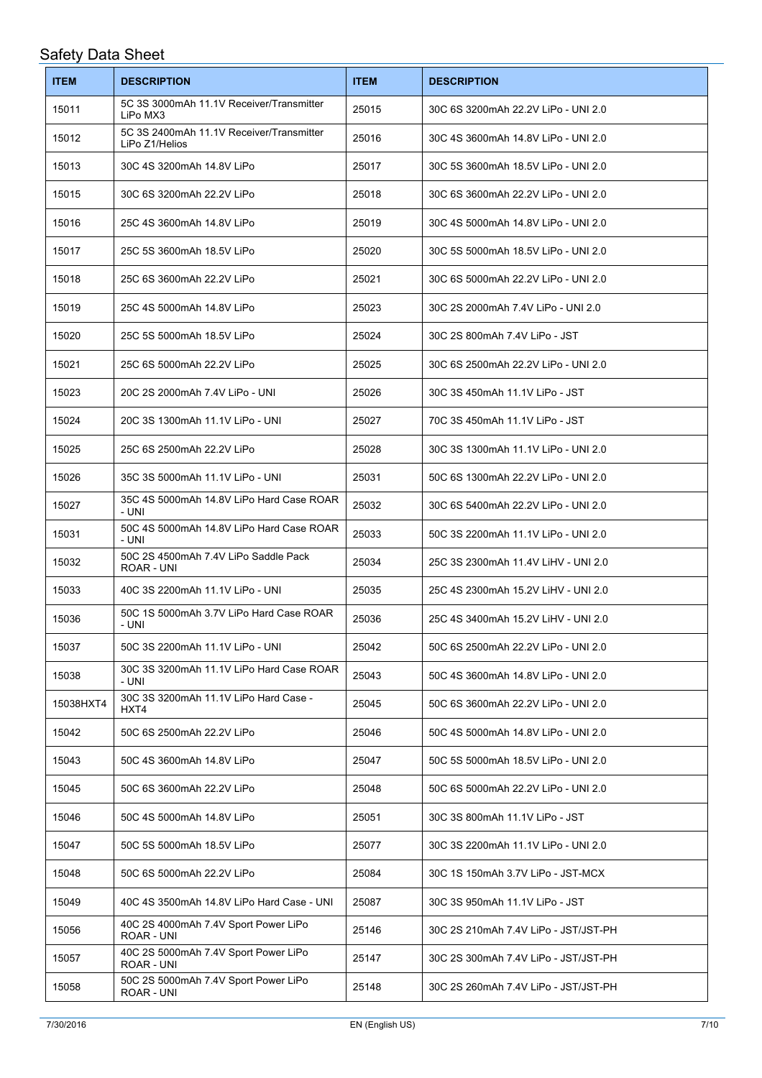| <b>ITEM</b> | <b>DESCRIPTION</b>                                         | <b>ITEM</b> | <b>DESCRIPTION</b>                   |
|-------------|------------------------------------------------------------|-------------|--------------------------------------|
| 15011       | 5C 3S 3000mAh 11.1V Receiver/Transmitter<br>LiPo MX3       | 25015       | 30C 6S 3200mAh 22.2V LiPo - UNI 2.0  |
| 15012       | 5C 3S 2400mAh 11.1V Receiver/Transmitter<br>LiPo Z1/Helios | 25016       | 30C 4S 3600mAh 14.8V LiPo - UNI 2.0  |
| 15013       | 30C 4S 3200mAh 14.8V LiPo                                  | 25017       | 30C 5S 3600mAh 18.5V LiPo - UNI 2.0  |
| 15015       | 30C 6S 3200mAh 22.2V LiPo                                  | 25018       | 30C 6S 3600mAh 22.2V LiPo - UNI 2.0  |
| 15016       | 25C 4S 3600mAh 14.8V LiPo                                  | 25019       | 30C 4S 5000mAh 14.8V LiPo - UNI 2.0  |
| 15017       | 25C 5S 3600mAh 18.5V LiPo                                  | 25020       | 30C 5S 5000mAh 18.5V LiPo - UNI 2.0  |
| 15018       | 25C 6S 3600mAh 22.2V LiPo                                  | 25021       | 30C 6S 5000mAh 22.2V LiPo - UNI 2.0  |
| 15019       | 25C 4S 5000mAh 14.8V LiPo                                  | 25023       | 30C 2S 2000mAh 7.4V LiPo - UNI 2.0   |
| 15020       | 25C 5S 5000mAh 18.5V LiPo                                  | 25024       | 30C 2S 800mAh 7.4V LiPo - JST        |
| 15021       | 25C 6S 5000mAh 22.2V LiPo                                  | 25025       | 30C 6S 2500mAh 22.2V LiPo - UNI 2.0  |
| 15023       | 20C 2S 2000mAh 7.4V LiPo - UNI                             | 25026       | 30C 3S 450mAh 11.1V LiPo - JST       |
| 15024       | 20C 3S 1300mAh 11.1V LiPo - UNI                            | 25027       | 70C 3S 450mAh 11.1V LiPo - JST       |
| 15025       | 25C 6S 2500mAh 22.2V LiPo                                  | 25028       | 30C 3S 1300mAh 11.1V LiPo - UNI 2.0  |
| 15026       | 35C 3S 5000mAh 11.1V LiPo - UNI                            | 25031       | 50C 6S 1300mAh 22.2V LiPo - UNI 2.0  |
| 15027       | 35C 4S 5000mAh 14.8V LiPo Hard Case ROAR<br>- UNI          | 25032       | 30C 6S 5400mAh 22.2V LiPo - UNI 2.0  |
| 15031       | 50C 4S 5000mAh 14.8V LiPo Hard Case ROAR<br>- UNI          | 25033       | 50C 3S 2200mAh 11.1V LiPo - UNI 2.0  |
| 15032       | 50C 2S 4500mAh 7.4V LiPo Saddle Pack<br>ROAR - UNI         | 25034       | 25C 3S 2300mAh 11.4V LiHV - UNI 2.0  |
| 15033       | 40C 3S 2200mAh 11.1V LiPo - UNI                            | 25035       | 25C 4S 2300mAh 15.2V LiHV - UNI 2.0  |
| 15036       | 50C 1S 5000mAh 3.7V LiPo Hard Case ROAR<br>- UNI           | 25036       | 25C 4S 3400mAh 15.2V LiHV - UNI 2.0  |
| 15037       | 50C 3S 2200mAh 11.1V LiPo - UNI                            | 25042       | 50C 6S 2500mAh 22.2V LiPo - UNI 2.0  |
| 15038       | 30C 3S 3200mAh 11.1V LiPo Hard Case ROAR<br>- UNI          | 25043       | 50C 4S 3600mAh 14.8V LiPo - UNI 2.0  |
| 15038HXT4   | 30C 3S 3200mAh 11.1V LiPo Hard Case -<br>HXT4              | 25045       | 50C 6S 3600mAh 22.2V LiPo - UNI 2.0  |
| 15042       | 50C 6S 2500mAh 22.2V LiPo                                  | 25046       | 50C 4S 5000mAh 14.8V LiPo - UNI 2.0  |
| 15043       | 50C 4S 3600mAh 14.8V LiPo                                  | 25047       | 50C 5S 5000mAh 18.5V LiPo - UNI 2.0  |
| 15045       | 50C 6S 3600mAh 22.2V LiPo                                  | 25048       | 50C 6S 5000mAh 22.2V LiPo - UNI 2.0  |
| 15046       | 50C 4S 5000mAh 14.8V LiPo                                  | 25051       | 30C 3S 800mAh 11.1V LiPo - JST       |
| 15047       | 50C 5S 5000mAh 18.5V LiPo                                  | 25077       | 30C 3S 2200mAh 11.1V LiPo - UNI 2.0  |
| 15048       | 50C 6S 5000mAh 22.2V LiPo                                  | 25084       | 30C 1S 150mAh 3.7V LiPo - JST-MCX    |
| 15049       | 40C 4S 3500mAh 14.8V LiPo Hard Case - UNI                  | 25087       | 30C 3S 950mAh 11.1V LiPo - JST       |
| 15056       | 40C 2S 4000mAh 7.4V Sport Power LiPo<br>ROAR - UNI         | 25146       | 30C 2S 210mAh 7.4V LiPo - JST/JST-PH |
| 15057       | 40C 2S 5000mAh 7.4V Sport Power LiPo<br>ROAR - UNI         | 25147       | 30C 2S 300mAh 7.4V LiPo - JST/JST-PH |
| 15058       | 50C 2S 5000mAh 7.4V Sport Power LiPo<br>ROAR - UNI         | 25148       | 30C 2S 260mAh 7.4V LiPo - JST/JST-PH |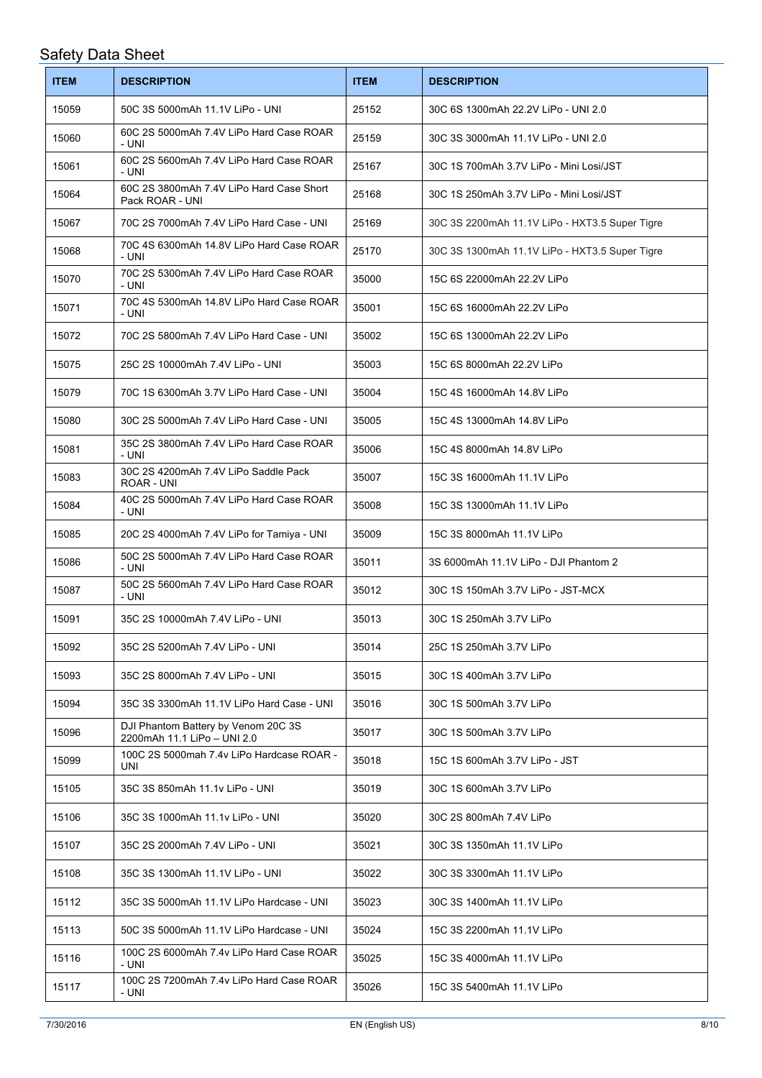| <b>ITEM</b> | <b>DESCRIPTION</b>                                                 | <b>ITEM</b> | <b>DESCRIPTION</b>                             |
|-------------|--------------------------------------------------------------------|-------------|------------------------------------------------|
| 15059       | 50C 3S 5000mAh 11.1V LiPo - UNI                                    | 25152       | 30C 6S 1300mAh 22.2V LiPo - UNI 2.0            |
| 15060       | 60C 2S 5000mAh 7.4V LiPo Hard Case ROAR<br>- UNI                   | 25159       | 30C 3S 3000mAh 11.1V LiPo - UNI 2.0            |
| 15061       | 60C 2S 5600mAh 7.4V LiPo Hard Case ROAR<br>- UNI                   | 25167       | 30C 1S 700mAh 3.7V LiPo - Mini Losi/JST        |
| 15064       | 60C 2S 3800mAh 7.4V LiPo Hard Case Short<br>Pack ROAR - UNI        | 25168       | 30C 1S 250mAh 3.7V LiPo - Mini Losi/JST        |
| 15067       | 70C 2S 7000mAh 7.4V LiPo Hard Case - UNI                           | 25169       | 30C 3S 2200mAh 11.1V LiPo - HXT3.5 Super Tigre |
| 15068       | 70C 4S 6300mAh 14.8V LiPo Hard Case ROAR<br>- UNI                  | 25170       | 30C 3S 1300mAh 11.1V LiPo - HXT3.5 Super Tigre |
| 15070       | 70C 2S 5300mAh 7.4V LiPo Hard Case ROAR<br>- UNI                   | 35000       | 15C 6S 22000mAh 22.2V LiPo                     |
| 15071       | 70C 4S 5300mAh 14.8V LiPo Hard Case ROAR<br>- UNI                  | 35001       | 15C 6S 16000mAh 22.2V LiPo                     |
| 15072       | 70C 2S 5800mAh 7.4V LiPo Hard Case - UNI                           | 35002       | 15C 6S 13000mAh 22.2V LiPo                     |
| 15075       | 25C 2S 10000mAh 7.4V LiPo - UNI                                    | 35003       | 15C 6S 8000mAh 22.2V LiPo                      |
| 15079       | 70C 1S 6300mAh 3.7V LiPo Hard Case - UNI                           | 35004       | 15C 4S 16000mAh 14.8V LiPo                     |
| 15080       | 30C 2S 5000mAh 7.4V LiPo Hard Case - UNI                           | 35005       | 15C 4S 13000mAh 14.8V LiPo                     |
| 15081       | 35C 2S 3800mAh 7.4V LiPo Hard Case ROAR<br>- UNI                   | 35006       | 15C 4S 8000mAh 14.8V LiPo                      |
| 15083       | 30C 2S 4200mAh 7.4V LiPo Saddle Pack<br>ROAR - UNI                 | 35007       | 15C 3S 16000mAh 11.1V LiPo                     |
| 15084       | 40C 2S 5000mAh 7.4V LiPo Hard Case ROAR<br>- UNI                   | 35008       | 15C 3S 13000mAh 11.1V LiPo                     |
| 15085       | 20C 2S 4000mAh 7.4V LiPo for Tamiya - UNI                          | 35009       | 15C 3S 8000mAh 11.1V LiPo                      |
| 15086       | 50C 2S 5000mAh 7.4V LiPo Hard Case ROAR<br>- UNI                   | 35011       | 3S 6000mAh 11.1V LiPo - DJI Phantom 2          |
| 15087       | 50C 2S 5600mAh 7.4V LiPo Hard Case ROAR<br>- UNI                   | 35012       | 30C 1S 150mAh 3.7V LiPo - JST-MCX              |
| 15091       | 35C 2S 10000mAh 7.4V LiPo - UNI                                    | 35013       | 30C 1S 250mAh 3.7V LiPo                        |
| 15092       | 35C 2S 5200mAh 7.4V LiPo - UNI                                     | 35014       | 25C 1S 250mAh 3.7V LiPo                        |
| 15093       | 35C 2S 8000mAh 7.4V LiPo - UNI                                     | 35015       | 30C 1S 400mAh 3.7V LiPo                        |
| 15094       | 35C 3S 3300mAh 11.1V LiPo Hard Case - UNI                          | 35016       | 30C 1S 500mAh 3.7V LiPo                        |
| 15096       | DJI Phantom Battery by Venom 20C 3S<br>2200mAh 11.1 LiPo - UNI 2.0 | 35017       | 30C 1S 500mAh 3.7V LiPo                        |
| 15099       | 100C 2S 5000mah 7.4v LiPo Hardcase ROAR -<br>UNI                   | 35018       | 15C 1S 600mAh 3.7V LiPo - JST                  |
| 15105       | 35C 3S 850mAh 11.1v LiPo - UNI                                     | 35019       | 30C 1S 600mAh 3.7V LiPo                        |
| 15106       | 35C 3S 1000mAh 11.1v LiPo - UNI                                    | 35020       | 30C 2S 800mAh 7.4V LiPo                        |
| 15107       | 35C 2S 2000mAh 7.4V LiPo - UNI                                     | 35021       | 30C 3S 1350mAh 11.1V LiPo                      |
| 15108       | 35C 3S 1300mAh 11.1V LiPo - UNI                                    | 35022       | 30C 3S 3300mAh 11.1V LiPo                      |
| 15112       | 35C 3S 5000mAh 11.1V LiPo Hardcase - UNI                           | 35023       | 30C 3S 1400mAh 11.1V LiPo                      |
| 15113       | 50C 3S 5000mAh 11.1V LiPo Hardcase - UNI                           | 35024       | 15C 3S 2200mAh 11.1V LiPo                      |
| 15116       | 100C 2S 6000mAh 7.4v LiPo Hard Case ROAR<br>- UNI                  | 35025       | 15C 3S 4000mAh 11.1V LiPo                      |
| 15117       | 100C 2S 7200mAh 7.4v LiPo Hard Case ROAR<br>- UNI                  | 35026       | 15C 3S 5400mAh 11.1V LiPo                      |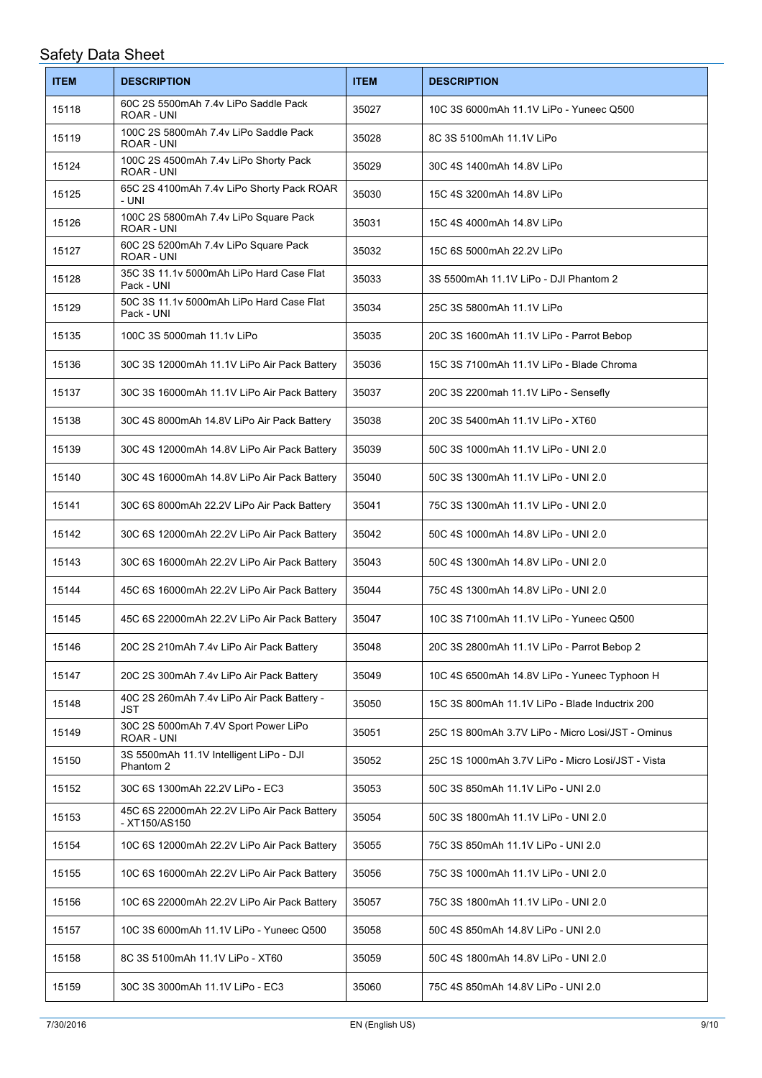| <b>ITEM</b> | <b>DESCRIPTION</b>                                           | <b>ITEM</b> | <b>DESCRIPTION</b>                                |
|-------------|--------------------------------------------------------------|-------------|---------------------------------------------------|
| 15118       | 60C 2S 5500mAh 7.4v LiPo Saddle Pack<br>ROAR - UNI           | 35027       | 10C 3S 6000mAh 11.1V LiPo - Yuneec Q500           |
| 15119       | 100C 2S 5800mAh 7.4v LiPo Saddle Pack<br>ROAR - UNI          | 35028       | 8C 3S 5100mAh 11.1V LiPo                          |
| 15124       | 100C 2S 4500mAh 7.4v LiPo Shorty Pack<br>ROAR - UNI          | 35029       | 30C 4S 1400mAh 14.8V LiPo                         |
| 15125       | 65C 2S 4100mAh 7.4v LiPo Shorty Pack ROAR<br>- UNI           | 35030       | 15C 4S 3200mAh 14.8V LiPo                         |
| 15126       | 100C 2S 5800mAh 7.4v LiPo Square Pack<br><b>ROAR - UNI</b>   | 35031       | 15C 4S 4000mAh 14.8V LiPo                         |
| 15127       | 60C 2S 5200mAh 7.4v LiPo Square Pack<br>ROAR - UNI           | 35032       | 15C 6S 5000mAh 22.2V LiPo                         |
| 15128       | 35C 3S 11.1v 5000mAh LiPo Hard Case Flat<br>Pack - UNI       | 35033       | 3S 5500mAh 11.1V LiPo - DJI Phantom 2             |
| 15129       | 50C 3S 11.1v 5000mAh LiPo Hard Case Flat<br>Pack - UNI       | 35034       | 25C 3S 5800mAh 11.1V LiPo                         |
| 15135       | 100C 3S 5000mah 11.1v LiPo                                   | 35035       | 20C 3S 1600mAh 11.1V LiPo - Parrot Bebop          |
| 15136       | 30C 3S 12000mAh 11.1V LiPo Air Pack Battery                  | 35036       | 15C 3S 7100mAh 11.1V LiPo - Blade Chroma          |
| 15137       | 30C 3S 16000mAh 11.1V LiPo Air Pack Battery                  | 35037       | 20C 3S 2200mah 11.1V LiPo - Sensefly              |
| 15138       | 30C 4S 8000mAh 14.8V LiPo Air Pack Battery                   | 35038       | 20C 3S 5400mAh 11.1V LiPo - XT60                  |
| 15139       | 30C 4S 12000mAh 14.8V LiPo Air Pack Battery                  | 35039       | 50C 3S 1000mAh 11.1V LiPo - UNI 2.0               |
| 15140       | 30C 4S 16000mAh 14.8V LiPo Air Pack Battery                  | 35040       | 50C 3S 1300mAh 11.1V LiPo - UNI 2.0               |
| 15141       | 30C 6S 8000mAh 22.2V LiPo Air Pack Battery                   | 35041       | 75C 3S 1300mAh 11.1V LiPo - UNI 2.0               |
| 15142       | 30C 6S 12000mAh 22.2V LiPo Air Pack Battery                  | 35042       | 50C 4S 1000mAh 14.8V LiPo - UNI 2.0               |
| 15143       | 30C 6S 16000mAh 22.2V LiPo Air Pack Battery                  | 35043       | 50C 4S 1300mAh 14.8V LiPo - UNI 2.0               |
| 15144       | 45C 6S 16000mAh 22.2V LiPo Air Pack Battery                  | 35044       | 75C 4S 1300mAh 14.8V LiPo - UNI 2.0               |
| 15145       | 45C 6S 22000mAh 22.2V LiPo Air Pack Battery                  | 35047       | 10C 3S 7100mAh 11.1V LiPo - Yuneec Q500           |
| 15146       | 20C 2S 210mAh 7.4v LiPo Air Pack Battery                     | 35048       | 20C 3S 2800mAh 11.1V LiPo - Parrot Bebop 2        |
| 15147       | 20C 2S 300mAh 7.4v LiPo Air Pack Battery                     | 35049       | 10C 4S 6500mAh 14.8V LiPo - Yuneec Typhoon H      |
| 15148       | 40C 2S 260mAh 7.4v LiPo Air Pack Battery -<br>JST            | 35050       | 15C 3S 800mAh 11.1V LiPo - Blade Inductrix 200    |
| 15149       | 30C 2S 5000mAh 7.4V Sport Power LiPo<br>ROAR - UNI           | 35051       | 25C 1S 800mAh 3.7V LiPo - Micro Losi/JST - Ominus |
| 15150       | 3S 5500mAh 11.1V Intelligent LiPo - DJI<br>Phantom 2         | 35052       | 25C 1S 1000mAh 3.7V LiPo - Micro Losi/JST - Vista |
| 15152       | 30C 6S 1300mAh 22.2V LiPo - EC3                              | 35053       | 50C 3S 850mAh 11.1V LiPo - UNI 2.0                |
| 15153       | 45C 6S 22000mAh 22.2V LiPo Air Pack Battery<br>- XT150/AS150 | 35054       | 50C 3S 1800mAh 11.1V LiPo - UNI 2.0               |
| 15154       | 10C 6S 12000mAh 22.2V LiPo Air Pack Battery                  | 35055       | 75C 3S 850mAh 11.1V LiPo - UNI 2.0                |
| 15155       | 10C 6S 16000mAh 22.2V LiPo Air Pack Battery                  | 35056       | 75C 3S 1000mAh 11.1V LiPo - UNI 2.0               |
| 15156       | 10C 6S 22000mAh 22.2V LiPo Air Pack Battery                  | 35057       | 75C 3S 1800mAh 11.1V LiPo - UNI 2.0               |
| 15157       | 10C 3S 6000mAh 11.1V LiPo - Yuneec Q500                      | 35058       | 50C 4S 850mAh 14.8V LiPo - UNI 2.0                |
| 15158       | 8C 3S 5100mAh 11.1V LiPo - XT60                              | 35059       | 50C 4S 1800mAh 14.8V LiPo - UNI 2.0               |
| 15159       | 30C 3S 3000mAh 11.1V LiPo - EC3                              | 35060       | 75C 4S 850mAh 14.8V LiPo - UNI 2.0                |